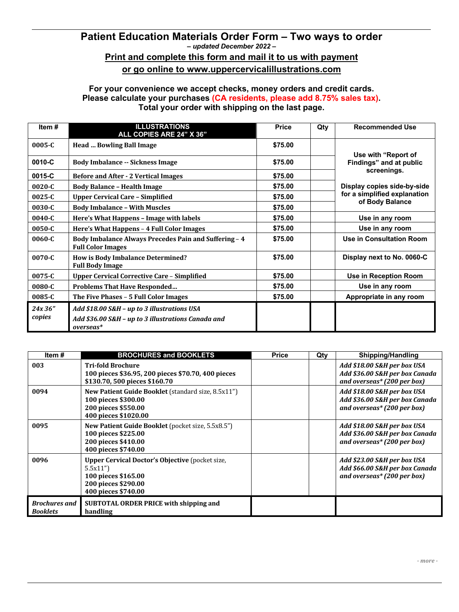## **Patient Education Materials Order Form – Two ways to order** *– updated December 2022 –* **Print and complete this form and mail it to us with payment**

## **or go online to www.uppercervicalillustrations.com**

## **For your convenience we accept checks, money orders and credit cards. Please calculate your purchases (CA residents, please add 8.75% sales tax). Total your order with shipping on the last page.**

| Item #            | <b>ILLUSTRATIONS</b><br>ALL COPIES ARE 24" X 36"                                                               | <b>Price</b> | Qty | <b>Recommended Use</b>                          |
|-------------------|----------------------------------------------------------------------------------------------------------------|--------------|-----|-------------------------------------------------|
| $0005 - C$        | <b>Head  Bowling Ball Image</b>                                                                                | \$75.00      |     | Use with "Report of                             |
| 0010-C            | <b>Body Imbalance -- Sickness Image</b>                                                                        | \$75.00      |     | Findings" and at public                         |
| 0015-C            | <b>Before and After - 2 Vertical Images</b>                                                                    | \$75.00      |     | screenings.                                     |
| $0020 - C$        | <b>Body Balance - Health Image</b>                                                                             | \$75.00      |     | Display copies side-by-side                     |
| 0025-C            | <b>Upper Cervical Care - Simplified</b>                                                                        | \$75.00      |     | for a simplified explanation<br>of Body Balance |
| 0030-C            | <b>Body Imbalance - With Muscles</b>                                                                           | \$75.00      |     |                                                 |
| $0040 - C$        | Here's What Happens - Image with labels                                                                        | \$75.00      |     | Use in any room                                 |
| 0050-C            | Here's What Happens - 4 Full Color Images                                                                      | \$75.00      |     | Use in any room                                 |
| 0060-C            | <b>Body Imbalance Always Precedes Pain and Suffering - 4</b><br><b>Full Color Images</b>                       | \$75.00      |     | Use in Consultation Room                        |
| $0070 - C$        | <b>How is Body Imbalance Determined?</b><br><b>Full Body Image</b>                                             | \$75.00      |     | Display next to No. 0060-C                      |
| 0075-C            | <b>Upper Cervical Corrective Care - Simplified</b>                                                             | \$75.00      |     | Use in Reception Room                           |
| 0080-C            | <b>Problems That Have Responded</b>                                                                            | \$75.00      |     | Use in any room                                 |
| 0085-C            | The Five Phases - 5 Full Color Images                                                                          | \$75.00      |     | Appropriate in any room                         |
| 24x 36"<br>copies | Add \$18.00 S&H - up to 3 illustrations USA<br>Add \$36.00 S&H - up to 3 illustrations Canada and<br>overseas* |              |     |                                                 |

| Item #                                  | <b>BROCHURES and BOOKLETS</b>                                                                                                          | <b>Price</b> | Qty | <b>Shipping/Handling</b>                                                                     |
|-----------------------------------------|----------------------------------------------------------------------------------------------------------------------------------------|--------------|-----|----------------------------------------------------------------------------------------------|
| 003                                     | <b>Tri-fold Brochure</b><br>100 pieces \$36.95, 200 pieces \$70.70, 400 pieces<br>\$130.70, 500 pieces \$160.70                        |              |     | Add \$18.00 S&H per box USA<br>Add \$36.00 S&H per box Canada<br>and overseas* (200 per box) |
| 0094                                    | <b>New Patient Guide Booklet</b> (standard size, 8.5x11")<br>100 pieces \$300.00<br>200 pieces \$550.00<br>400 pieces \$1020.00        |              |     | Add \$18.00 S&H per box USA<br>Add \$36.00 S&H per box Canada<br>and overseas* (200 per box) |
| 0095                                    | New Patient Guide Booklet (pocket size, 5.5x8.5")<br>100 pieces \$225.00<br>200 pieces \$410.00<br>400 pieces \$740.00                 |              |     | Add \$18.00 S&H per box USA<br>Add \$36.00 S&H per box Canada<br>and overseas* (200 per box) |
| 0096                                    | <b>Upper Cervical Doctor's Objective (pocket size,</b><br>5.5x11"<br>100 pieces \$165.00<br>200 pieces \$290.00<br>400 pieces \$740.00 |              |     | Add \$23.00 S&H per box USA<br>Add \$66.00 S&H per box Canada<br>and overseas* (200 per box) |
| <b>Brochures and</b><br><b>Booklets</b> | SUBTOTAL ORDER PRICE with shipping and<br>handling                                                                                     |              |     |                                                                                              |